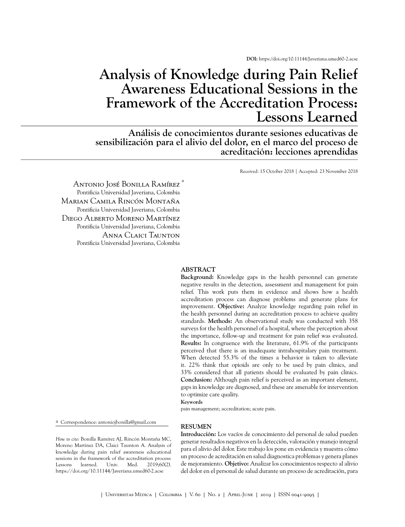**DOI:** <https://doi.org/10.11144/Javeriana.umed60-2.acse>

# **Analysis of Knowledge during Pain Relief Awareness Educational Sessions in the Framework of the Accreditation Process: Lessons Learned**

**Análisis de conocimientos durante sesiones educativas de sensibilización para el alivio del dolor, en el marco del proceso de acreditación: lecciones aprendidas**

Received: 15 October 2018 | Accepted: 23 November 2018

Antonio José Bonilla Ramírez <sup>a</sup> Pontificia Universidad Javeriana, Colombia Marian Camila Rincón Montaña Pontificia Universidad Javeriana, Colombia Diego Alberto Moreno Martínez Pontificia Universidad Javeriana, Colombia Anna Claici Taunton Pontificia Universidad Javeriana, Colombia

#### **ABSTRACT**

**Background:** Knowledge gaps in the health personnel can generate negative results in the detection, assessment and management for pain relief. This work puts them in evidence and shows how a health accreditation process can diagnose problems and generate plans for improvement. **Objective:** Analyze knowledge regarding pain relief in the health personnel during an accreditation process to achieve quality standards. **Methods:** An observational study was conducted with 358 surveys for the health personnel of a hospital, where the perception about the importance, follow-up and treatment for pain relief was evaluated. **Results:** In congruence with the literature, 61.9% of the participants perceived that there is an inadequate intrahospitalary pain treatment. When detected 55.3% of the times a behavior is taken to alleviate it. 22% think that opioids are only to be used by pain clinics, and 33% considered that all patients should be evaluated by pain clinics. **Conclusion:** Although pain relief is perceived as an important element, gaps in knowledge are diagnosed, and these are amenable for intervention to optimize care quality.

**Keywords**

pain management; accreditation; acute pain.

a Correspondence: antoniojbonilla@gmail.com

#### **RESUMEN**

*How to cite*: Bonilla Ramírez AJ, Rincón Montaña MC, Moreno Martínez DA, Claici Taunton A. Analysis of knowledge during pain relief awareness educational sessions in the framework of the accreditation process: Lessons learned. Univ. Med. 2019;60(2). https://doi.org/10.11144/Javeriana.umed60-2.acse

**Introducción:** Los vacíos de conocimiento del personal de salud pueden generar resultados negativos en la detección, valoración y manejo integral para el alivio del dolor. Este trabajo los pone en evidencia y muestra cómo un proceso de acreditación en salud diagnostica problemas y genera planes de mejoramiento. **Objetivo:** Analizar los conocimientos respecto al alivio del dolor en el personal de salud durante un proceso de acreditación, para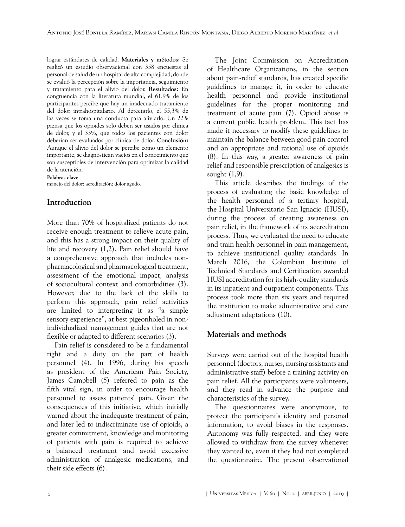lograr estándares de calidad. **Materiales y métodos:** Se realizó un estudio observacional con 358 encuestas al personal de salud de un hospital de alta complejidad, donde se evaluó la percepción sobre la importancia, seguimiento y tratamiento para el alivio del dolor. **Resultados:** En congruencia con la literatura mundial, el 61,9% de los participantes percibe que hay un inadecuado tratamiento del dolor intrahospitalario. Al detectarlo, el 55,3% de las veces se toma una conducta para aliviarlo. Un 22% piensa que los opioides solo deben ser usados por clínica de dolor, y el 33%, que todos los pacientes con dolor deberían ser evaluados por clínica de dolor. **Conclusión:** Aunque el alivio del dolor se percibe como un elemento importante, se diagnostican vacíos en el conocimiento que son susceptibles de intervención para optimizar la calidad de la atención.

#### **Palabras clave**

manejo del dolor; acreditación; dolor agudo.

### **Introduction**

More than 70% of hospitalized patients do not receive enough treatment to relieve acute pain, and this has a strong impact on their quality of life and recovery ([1](#page-5-0),[2](#page-5-1)). Pain relief should have a comprehensive approach that includes nonpharmacological and pharmacological treatment, assessment of the emotional impact, analysis of sociocultural context and comorbidities [\(3\)](#page-5-2). However, due to the lack of the skills to perform this approach, pain relief activities are limited to interpreting it as "a simple sensory experience", at best pigeonholed in nonindividualized management guides that are not flexible or adapted to different scenarios [\(3\)](#page-5-2).

Pain relief is considered to be a fundamental right and a duty on the part of health personnel ([4](#page-5-3)). In 1996, during his speech as president of the American Pain Society, James Campbell ([5](#page-5-4)) referred to pain as the fifth vital sign, in order to encourage health personnel to assess patients' pain. Given the consequences of this initiative, which initially warned about the inadequate treatment of pain, and later led to indiscriminate use of opioids, a greater commitment, knowledge and monitoring of patients with pain is required to achieve a balanced treatment and avoid excessive administration of analgesic medications, and their side effects ([6](#page-5-5)).

The Joint Commission on Accreditation of Healthcare Organizations, in the section about pain-relief standards, has created specific guidelines to manage it, in order to educate health personnel and provide institutional guidelines for the proper monitoring and treatment of acute pain ([7\)](#page-5-6). Opioid abuse is a current public health problem. This fact has made it necessary to modify these guidelines to maintain the balance between good pain control and an appropriate and rational use of opioids ([8](#page-5-7)). In this way, a greater awareness of pain relief and responsible prescription of analgesics is sought ([1](#page-5-0)[,9](#page-5-8)).

This article describes the findings of the process of evaluating the basic knowledge of the health personnel of a tertiary hospital, the Hospital Universitario San Ignacio (HUSI), during the process of creating awareness on pain relief, in the framework of its accreditation process. Thus, we evaluated the need to educate and train health personnel in pain management, to achieve institutional quality standards. In March 2016, the Colombian Institute of Technical Standards and Certification awarded HUSI accreditation for its high-quality standards in its inpatient and outpatient components. This process took more than six years and required the institution to make administrative and care adjustment adaptations ([10](#page-5-9)).

### **Materials and methods**

Surveys were carried out of the hospital health personnel (doctors, nurses, nursing assistants and administrative staff) before a training activity on pain relief. All the participants were volunteers, and they read in advance the purpose and characteristics of the survey.

The questionnaires were anonymous, to protect the participant's identity and personal information, to avoid biases in the responses. Autonomy was fully respected, and they were allowed to withdraw from the survey whenever they wanted to, even if they had not completed the questionnaire. The present observational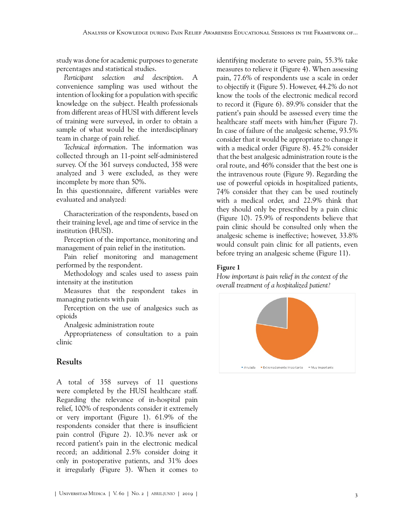study was done for academic purposes to generate percentages and statistical studies.

*Participant selection and description*. A convenience sampling was used without the intention of looking for a population with specific knowledge on the subject. Health professionals from different areas of HUSI with different levels of training were surveyed, in order to obtain a sample of what would be the interdisciplinary team in charge of pain relief.

*Technical information*. The information was collected through an 11-point self-administered survey. Of the 361 surveys conducted, 358 were analyzed and 3 were excluded, as they were incomplete by more than 50%.

In this questionnaire, different variables were evaluated and analyzed:

Characterization of the respondents, based on their training level, age and time of service in the institution (HUSI).

Perception of the importance, monitoring and management of pain relief in the institution.

Pain relief monitoring and management performed by the respondent.

Methodology and scales used to assess pain intensity at the institution

Measures that the respondent takes in managing patients with pain

Perception on the use of analgesics such as opioids

Analgesic administration route

Appropriateness of consultation to a pain clinic

#### **Results**

A total of 358 surveys of 11 questions were completed by the HUSI healthcare staff. Regarding the relevance of in-hospital pain relief, 100% of respondents consider it extremely or very important ([Figure](#page-2-0) 1). 61.9% of the respondents consider that there is insufficient pain control [\(Figure](#page-3-0) 2). 10.3% never ask or record patient's pain in the electronic medical record; an additional 2.5% consider doing it only in postoperative patients, and 31% does it irregularly ([Figure 3](#page-3-1)). When it comes to identifying moderate to severe pain, 55.3% take measures to relieve it [\(Figure 4\)](#page-3-2). When assessing pain, 77.6% of respondents use a scale in order to objectify it ([Figure 5](#page-3-3)). However, 44.2% do not know the tools of the electronic medical record to record it [\(Figure 6\)](#page-3-4). 89.9% consider that the patient's pain should be assessed every time the healthcare staff meets with him/her ([Figure 7\)](#page-3-5). In case of failure of the analgesic scheme, 93.5% consider that it would be appropriate to change it with a medical order ([Figure 8\)](#page-4-0). 45.2% consider that the best analgesic administration route is the oral route, and 46% consider that the best one is the intravenous route ([Figure 9](#page-4-1)). Regarding the use of powerful opioids in hospitalized patients, 74% consider that they can be used routinely with a medical order, and 22.9% think that they should only be prescribed by a pain clinic [\(Figure 10\)](#page-4-2). 75.9% of respondents believe that pain clinic should be consulted only when the analgesic scheme is ineffective; however, 33.8% would consult pain clinic for all patients, even before trying an analgesic scheme ([Figure 11\)](#page-4-3).

#### <span id="page-2-0"></span>Figure 1

*How important is pain relief in the context of the overall treatment of a hospitalized patient?*

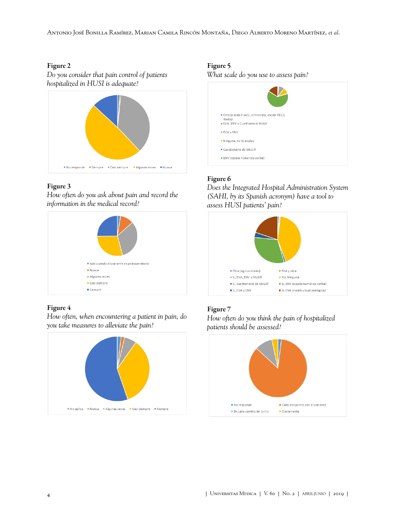Antonio José Bonilla Ramírez, Marian Camila Rincón Montaña, Diego Alberto Moreno Martínez, *et al*.

#### <span id="page-3-0"></span>Figure 2

*Do you consider that pain control of patients hospitalized in HUSI is adequate?*



### <span id="page-3-1"></span>Figure 3

*How often do you ask about pain and record the information in the medical record?*



### <span id="page-3-2"></span>Figure 4

*How often, when encountering a patient in pain, do you take measures to alleviate the pain?*



### <span id="page-3-3"></span>Figure 5

*What scale do you use to assess pain?*



### <span id="page-3-4"></span>Figure 6

*Does the Integrated Hospital Administration System (SAHI, by its Spanish acronym) have a tool to assess HUSI patients' pain?*



### <span id="page-3-5"></span>Figure 7

*How often do you think the pain of hospitalized patients should be assessed?*

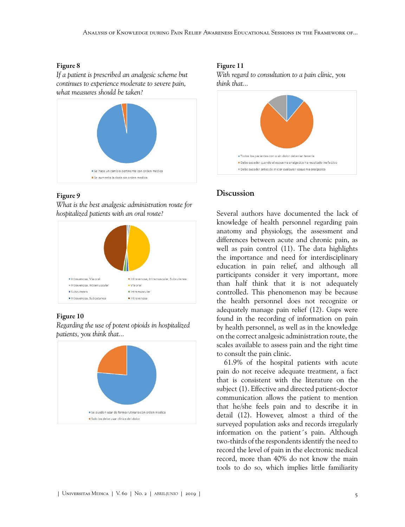#### <span id="page-4-0"></span>Figure 8

*If a patient is prescribed an analgesic scheme but continues to experience moderate to severe pain, what measures should be taken?*



#### <span id="page-4-1"></span>Figure 9

*What is the best analgesic administration route for hospitalized patients with an oral route?*



#### <span id="page-4-2"></span>Figure 10

*Regarding the use of potent opioids in hospitalized patients, you think that...*



### <span id="page-4-3"></span>Figure 11

*With regard to consultation to a pain clinic, you think that...*



## **Discussion**

Several authors have documented the lack of knowledge of health personnel regarding pain anatomy and physiology, the assessment and differences between acute and chronic pain, as well as pain control [\(11](#page-5-10)). The data highlights the importance and need for interdisciplinary education in pain relief, and although all participants consider it very important, more than half think that it is not adequately controlled. This phenomenon may be because the health personnel does not recognize or adequately manage pain relief ([12](#page-6-0)). Gaps were found in the recording of information on pain by health personnel, as well as in the knowledge on the correct analgesic administration route, the scales available to assess pain and the right time to consult the pain clinic.

61.9% of the hospital patients with acute pain do not receive adequate treatment, a fact that is consistent with the literature on the subject [\(1\)](#page-5-0). Effective and directed patient-doctor communication allows the patient to mention that he/she feels pain and to describe it in detail [\(12](#page-6-0)). However, almost a third of the surveyed population asks and records irregularly information on the patient´s pain. Although two-thirds of the respondents identify the need to record the level of pain in the electronic medical record, more than 40% do not know the main tools to do so, which implies little familiarity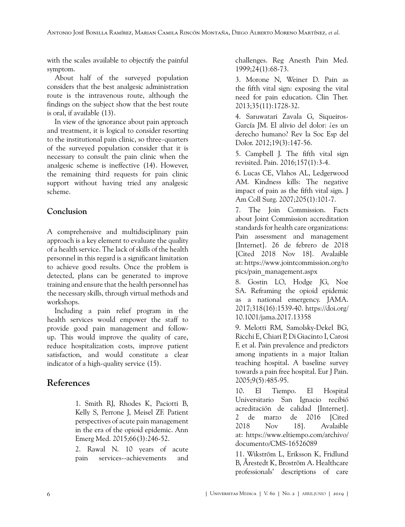with the scales available to objectify the painful symptom.

About half of the surveyed population considers that the best analgesic administration route is the intravenous route, although the findings on the subject show that the best route is oral, if available [\(13](#page-6-1)).

In view of the ignorance about pain approach and treatment, it is logical to consider resorting to the institutional pain clinic, so three-quarters of the surveyed population consider that it is necessary to consult the pain clinic when the analgesic scheme is ineffective [\(14](#page-6-2)). However, the remaining third requests for pain clinic support without having tried any analgesic scheme.

### **Conclusion**

A comprehensive and multidisciplinary pain approach is a key element to evaluate the quality of a health service. The lack of skills of the health personnel in this regard is a significant limitation to achieve good results. Once the problem is detected, plans can be generated to improve training and ensure that the health personnel has the necessary skills, through virtual methods and workshops.

Including a pain relief program in the health services would empower the staff to provide good pain management and followup. This would improve the quality of care, reduce hospitalization costs, improve patient satisfaction, and would constitute a clear indicator of a high-quality service [\(15\)](#page-6-3).

# <span id="page-5-0"></span>**References**

1. Smith RJ, Rhodes K, Paciotti B, Kelly S, Perrone J, Meisel ZF. Patient perspectives of acute pain management in the era of the opioid epidemic. Ann Emerg Med. 2015;66(3):246-52.

<span id="page-5-1"></span>2. Rawal N. 10 years of acute pain services--achievements and challenges. Reg Anesth Pain Med. 1999;24(1):68-73.

<span id="page-5-2"></span>3. Morone N, Weiner D. Pain as the fifth vital sign: exposing the vital need for pain education. Clin Ther. 2013;35(11):1728-32.

<span id="page-5-3"></span>4. Saruwatari Zavala G, Siqueiros-García JM. El alivio del dolor: ¿es un derecho humano? Rev la Soc Esp del Dolor. 2012;19(3):147-56.

<span id="page-5-4"></span>5. Campbell J. The fifth vital sign revisited. Pain. 2016;157(1):3-4.

<span id="page-5-5"></span>6. Lucas CE, Vlahos AL, Ledgerwood AM. Kindness kills: The negative impact of pain as the fifth vital sign. J Am Coll Surg. 2007;205(1):101-7.

<span id="page-5-6"></span>7. The Join Commission. Facts about Joint Commission accreditation standards for health care organizations: Pain assessment and management [Internet]. 26 de febrero de 2018 [Cited 2018 Nov 18]. Avalaible at: [https://www.jointcommission.org/to](https://www.jointcommission.org/topics/pain_management.aspx) [pics/pain\\_management.aspx](https://www.jointcommission.org/topics/pain_management.aspx)

<span id="page-5-7"></span>8. Gostin LO, Hodge JG, Noe SA. Reframing the opioid epidemic as a national emergency. JAMA. 2017;318(16):1539-40. [https://doi.org/](https://doi.org/10.1001/jama.2017.13358) [10.1001/jama.2017.13358](https://doi.org/10.1001/jama.2017.13358)

<span id="page-5-8"></span>9. Melotti RM, Samolsky-Dekel BG, Ricchi E, Chiari P, Di Giacinto I, Carosi F, et al. Pain prevalence and predictors among inpatients in a major Italian teaching hospital. A baseline survey towards a pain free hospital. Eur J Pain. 2005;9(5):485-95.

<span id="page-5-9"></span>10. El Tiempo. El Hospital Universitario San Ignacio recibió acreditación de calidad [Internet]. 2 de marzo de 2016 [Cited 2018 Nov 18]. Avalaible at: [https://www.eltiempo.com/archivo/](https://www.eltiempo.com/archivo/documento/CMS-16526089) [documento/CMS-16526089](https://www.eltiempo.com/archivo/documento/CMS-16526089)

<span id="page-5-10"></span>11. Wikström L, Eriksson K, Fridlund B, Årestedt K, Broström A. Healthcare professionals' descriptions of care